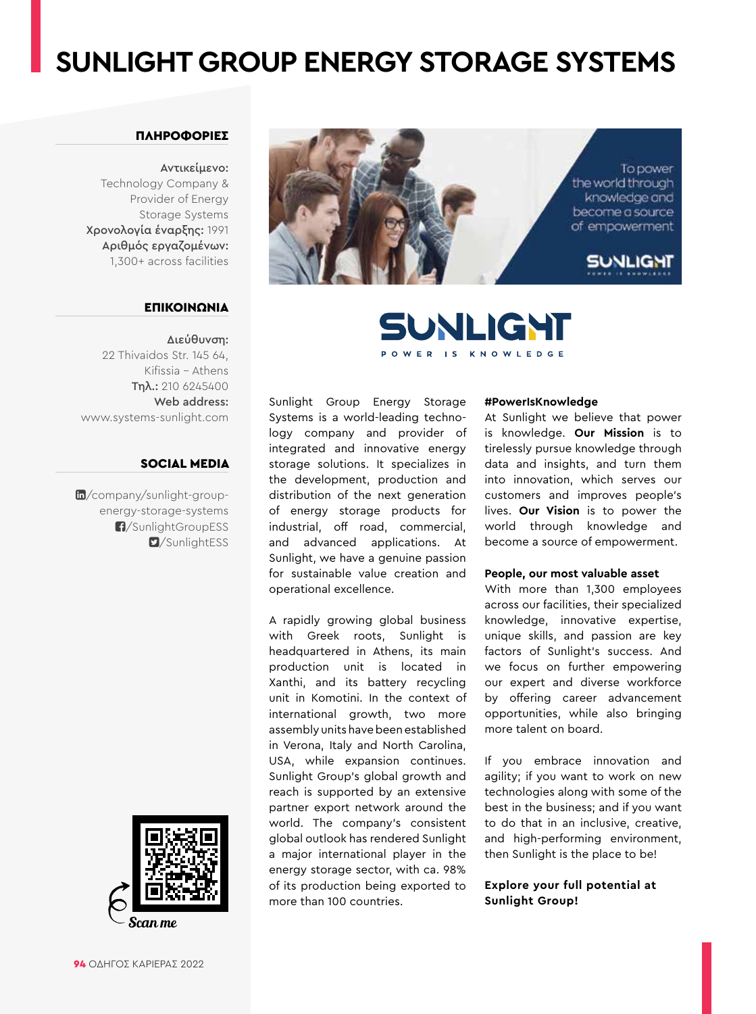### **SUNLIGHT GROUP ENERGY STORAGE SYSTEMS**

#### ΠΛΗΡΟΦΟΡΙΕΣ

Αντικείμενο: Technology Company & Provider of Energy Storage Systems Χρονολογία έναρξης: 1991 Αριθμός εργαζομένων: 1,300+ across facilities

#### ΕΠΙΚΟΙΝΩΝΙΑ

Διεύθυνση: 22 Thivaidos Str. 145 64, Kifissia – Athens Τηλ.: 210 6245400 Web address: www.systems-sunlight.com

#### SOCIAL MEDIA

 $m$ [/company/sunlight-group](https://www.linkedin.com/company/sunlight-group-energy-storage-systems/)energy-storage-systems [/SunlightGroupESS](https://www.facebook.com/SunlightGroupESS/) **D**[/SunlightESS](https://twitter.com/sunlightess)







Sunlight Group Energy Storage Systems is a world-leading technology company and provider of integrated and innovative energy storage solutions. It specializes in the development, production and distribution of the next generation of energy storage products for industrial, off road, commercial, and advanced applications. At Sunlight, we have a genuine passion for sustainable value creation and operational excellence.

A rapidly growing global business with Greek roots, Sunlight is headquartered in Athens, its main production unit is located in Xanthi, and its battery recycling unit in Komotini. In the context of international growth, two more assembly units have been established in Verona, Italy and North Carolina, USA, while expansion continues. Sunlight Group's global growth and reach is supported by an extensive partner export network around the world. The company's consistent global outlook has rendered Sunlight a major international player in the energy storage sector, with ca. 98% of its production being exported to more than 100 countries.

#### **#PowerIsKnowledge**

At Sunlight we believe that power is knowledge. **Our Mission** is to tirelessly pursue knowledge through data and insights, and turn them into innovation, which serves our customers and improves people's lives. **Our Vision** is to power the world through knowledge and become a source of empowerment.

#### **People, our most valuable asset**

With more than 1,300 employees across our facilities, their specialized knowledge, innovative expertise, unique skills, and passion are key factors of Sunlight's success. And we focus on further empowering our expert and diverse workforce by offering career advancement opportunities, while also bringing more talent on board.

If you embrace innovation and agility; if you want to work on new technologies along with some of the best in the business; and if you want to do that in an inclusive, creative, and high-performing environment, then Sunlight is the place to be!

#### **Explore your full potential at Sunlight Group!**